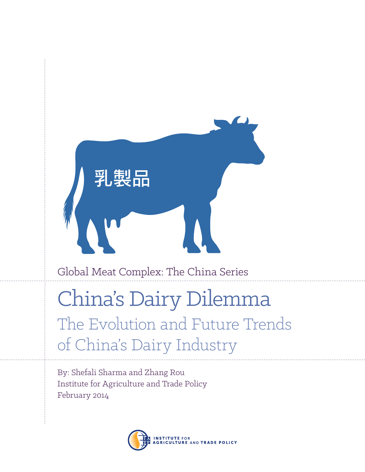

# China's Dairy Dilemma The Evolution and Future Trends of China's Dairy Industry

By: Shefali Sharma and Zhang Rou Institute for Agriculture and Trade Policy February 2014

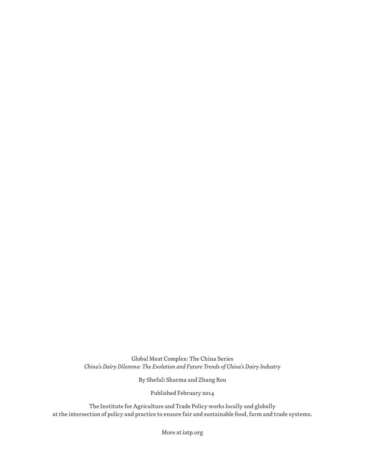Global Meat Complex: The China Series *China's Dairy Dilemma: The Evolution and Future Trends of China's Dairy Industry*

By Shefali Sharma and Zhang Rou

Published February 2014

The Institute for Agriculture and Trade Policy works locally and globally at the intersection of policy and practice to ensure fair and sustainable food, farm and trade systems.

More at iatp.org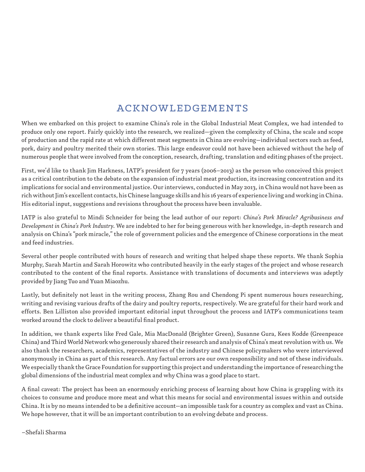# ACKNOWLEDGEMENTS

When we embarked on this project to examine China's role in the Global Industrial Meat Complex, we had intended to produce only one report. Fairly quickly into the research, we realized—given the complexity of China, the scale and scope of production and the rapid rate at which different meat segments in China are evolving—individual sectors such as feed, pork, dairy and poultry merited their own stories. This large endeavor could not have been achieved without the help of numerous people that were involved from the conception, research, drafting, translation and editing phases of the project.

First, we'd like to thank Jim Harkness, IATP's president for 7 years (2006–2013) as the person who conceived this project as a critical contribution to the debate on the expansion of industrial meat production, its increasing concentration and its implications for social and environmental justice. Our interviews, conducted in May 2013, in China would not have been as rich without Jim's excellent contacts, his Chinese language skills and his 16 years of experience living and working in China. His editorial input, suggestions and revisions throughout the process have been invaluable.

IATP is also grateful to Mindi Schneider for being the lead author of our report: *China's Pork Miracle? Agribusiness and Development in China's Pork Industry*. We are indebted to her for being generous with her knowledge, in-depth research and analysis on China's "pork miracle," the role of government policies and the emergence of Chinese corporations in the meat and feed industries.

Several other people contributed with hours of research and writing that helped shape these reports. We thank Sophia Murphy, Sarah Martin and Sarah Horowitz who contributed heavily in the early stages of the project and whose research contributed to the content of the final reports. Assistance with translations of documents and interviews was adeptly provided by Jiang Tuo and Yuan Miaozhu.

Lastly, but definitely not least in the writing process, Zhang Rou and Chendong Pi spent numerous hours researching, writing and revising various drafts of the dairy and poultry reports, respectively. We are grateful for their hard work and efforts. Ben Lilliston also provided important editorial input throughout the process and IATP's communications team worked around the clock to deliver a beautiful final product.

In addition, we thank experts like Fred Gale, Mia MacDonald (Brighter Green), Susanne Gura, Kees Kodde (Greenpeace China) and Third World Network who generously shared their research and analysis of China's meat revolution with us. We also thank the researchers, academics, representatives of the industry and Chinese policymakers who were interviewed anonymously in China as part of this research. Any factual errors are our own responsibility and not of these individuals. We especially thank the Grace Foundation for supporting this project and understanding the importance of researching the global dimensions of the industrial meat complex and why China was a good place to start.

A final caveat: The project has been an enormously enriching process of learning about how China is grappling with its choices to consume and produce more meat and what this means for social and environmental issues within and outside China. It is by no means intended to be a definitive account—an impossible task for a country as complex and vast as China. We hope however, that it will be an important contribution to an evolving debate and process.

–Shefali Sharma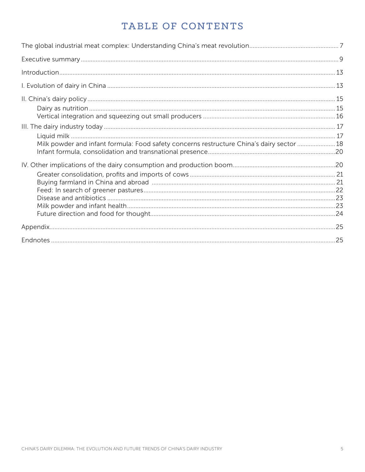# TABLE OF CONTENTS

| Milk powder and infant formula: Food safety concerns restructure China's dairy sector 18 |  |
|------------------------------------------------------------------------------------------|--|
|                                                                                          |  |
|                                                                                          |  |
|                                                                                          |  |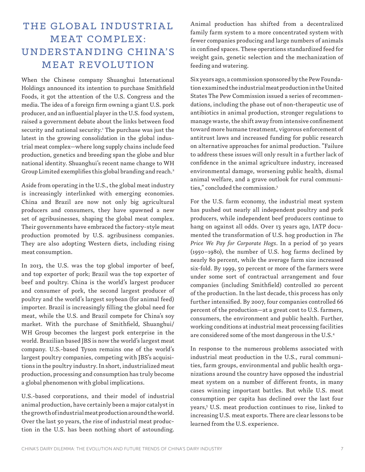# THE GLOBAL INDUSTRIAL ME AT COMPLEX: UNDERSTA NDING CHINA'S MEAT REVOLUTION

When the Chinese company Shuanghui International Holdings announced its intention to purchase Smithfield Foods, it got the attention of the U.S. Congress and the media. The idea of a foreign firm owning a giant U.S. pork producer, and an influential player in the U.S. food system, raised a government debate about the links between food security and national security.<sup>1</sup> The purchase was just the latest in the growing consolidation in the global industrial meat complex—where long supply chains include feed production, genetics and breeding span the globe and blur national identity. Shuanghui's recent name change to WH Group Limited exemplifies this global branding and reach.2

Aside from operating in the U.S., the global meat industry is increasingly interlinked with emerging economies. China and Brazil are now not only big agricultural producers and consumers, they have spawned a new set of agribusinesses, shaping the global meat complex. Their governments have embraced the factory-style meat production promoted by U.S. agribusiness companies. They are also adopting Western diets, including rising meat consumption.

In 2013, the U.S. was the top global importer of beef, and top exporter of pork; Brazil was the top exporter of beef and poultry. China is the world's largest producer and consumer of pork, the second largest producer of poultry and the world's largest soybean (for animal feed) importer. Brazil is increasingly filling the global need for meat, while the U.S. and Brazil compete for China's soy market. With the purchase of Smithfield, Shuanghui/ WH Group becomes the largest pork enterprise in the world. Brazilian based JBS is now the world's largest meat company. U.S.-based Tyson remains one of the world's largest poultry companies, competing with JBS's acquisitions in the poultry industry. In short, industrialized meat production, processing and consumption has truly become a global phenomenon with global implications.

U.S.-based corporations, and their model of industrial animal production, have certainly been a major catalyst in the growth of industrial meat production around the world. Over the last 50 years, the rise of industrial meat production in the U.S. has been nothing short of astounding.

Animal production has shifted from a decentralized family farm system to a more concentrated system with fewer companies producing and large numbers of animals in confined spaces. These operations standardized feed for weight gain, genetic selection and the mechanization of feeding and watering.

Six years ago, a commission sponsored by the Pew Foundation examined the industrial meat production in the United States The Pew Commission issued a series of recommendations, including the phase out of non-therapeutic use of antibiotics in animal production, stronger regulations to manage waste, the shift away from intensive confinement toward more humane treatment, vigorous enforcement of antitrust laws and increased funding for public research on alternative approaches for animal production. "Failure to address these issues will only result in a further lack of confidence in the animal agriculture industry, increased environmental damage, worsening public health, dismal animal welfare, and a grave outlook for rural communities," concluded the commission.3

For the U.S. farm economy, the industrial meat system has pushed out nearly all independent poultry and pork producers, while independent beef producers continue to hang on against all odds. Over 13 years ago, IATP documented the transformation of U.S. hog production in *The Price We Pay for Corporate Hogs*. In a period of 30 years (1950–1980), the number of U.S. hog farms declined by nearly 80 percent, while the average farm size increased six-fold. By 1999, 50 percent or more of the farmers were under some sort of contractual arrangement and four companies (including Smithfield) controlled 20 percent of the production. In the last decade, this process has only further intensified. By 2007, four companies controlled 66 percent of the production—at a great cost to U.S. farmers, consumers, the environment and public health. Further, working conditions at industrial meat processing facilities are considered some of the most dangerous in the U.S.4

In response to the numerous problems associated with industrial meat production in the U.S., rural communities, farm groups, environmental and public health organizations around the country have opposed the industrial meat system on a number of different fronts, in many cases winning important battles. But while U.S. meat consumption per capita has declined over the last four years,<sup>5</sup> U.S. meat production continues to rise, linked to increasing U.S. meat exports. There are clear lessons to be learned from the U.S. experience.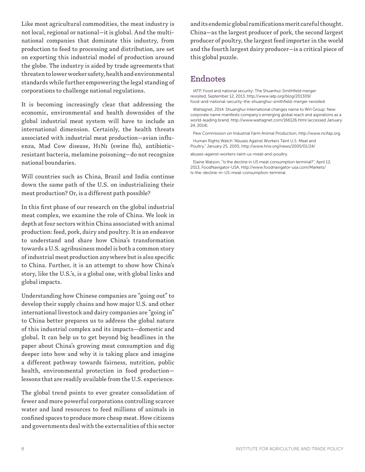Like most agricultural commodities, the meat industry is not local, regional or national—it is global. And the multinational companies that dominate this industry, from production to feed to processing and distribution, are set on exporting this industrial model of production around the globe. The industry is aided by trade agreements that threaten to lower worker safety, health and environmental standards while further empowering the legal standing of corporations to challenge national regulations.

It is becoming increasingly clear that addressing the economic, environmental and health downsides of the global industrial meat system will have to include an international dimension. Certainly, the health threats associated with industrial meat production—avian influenza, Mad Cow disease, H1N1 (swine flu), antibioticresistant bacteria, melamine poisoning—do not recognize national boundaries.

Will countries such as China, Brazil and India continue down the same path of the U.S. on industrializing their meat production? Or, is a different path possible?

In this first phase of our research on the global industrial meat complex, we examine the role of China. We look in depth at four sectors within China associated with animal production: feed, pork, dairy and poultry. It is an endeavor to understand and share how China's transformation towards a U.S. agribusiness model is both a common story of industrial meat production anywhere but is also specific to China. Further, it is an attempt to show how China's story, like the U.S.'s, is a global one, with global links and global impacts.

Understanding how Chinese companies are "going out" to develop their supply chains and how major U.S. and other international livestock and dairy companies are "going in" to China better prepares us to address the global nature of this industrial complex and its impacts—domestic and global. It can help us to get beyond big headlines in the paper about China's growing meat consumption and dig deeper into how and why it is taking place and imagine a different pathway towards fairness, nutrition, public health, environmental protection in food production lessons that are readily available from the U.S. experience.

The global trend points to ever greater consolidation of fewer and more powerful corporations controlling scarcer water and land resources to feed millions of animals in confined spaces to produce more cheap meat. How citizens and governments deal with the externalities of this sector and its endemic global ramifications merit careful thought. China—as the largest producer of pork, the second largest producer of poultry, the largest feed importer in the world and the fourth largest dairy producer—is a critical piece of this global puzzle.

# Endnotes

IATP, Food and national security: The Shuanhui-Smithfield merger revisited, September 12, 2013, http://www.iatp.org/blog/201309/ food-and-national-security-the-shuanghui-smithfield-merger-revisited.

Wattagnet, 2014. Shuanghui International changes name to WH Group: New corporate name manifests company's emerging global reach and aspirations as a world-leading brand, http://www.wattagnet.com/166126.html (accessed January 24, 2014).

Pew Commission on Industrial Farm Animal Production, http://www.ncifap.org.

Human Rights Watch "Abuses Against Workers Taint U.S. Meat and Poultry," January 25, 2005, http://www.hrw.org/news/2005/01/24/ abuses-against-workers-taint-us-meat-and-poultry.

Is-the-decline-in-US-meat-consumption-terminal.

Elaine Watson, "Is the decline in US meat consumption terminal?", April 12, 2013, FoodNavigator-USA, http://www.foodnavigator-usa.com/Markets/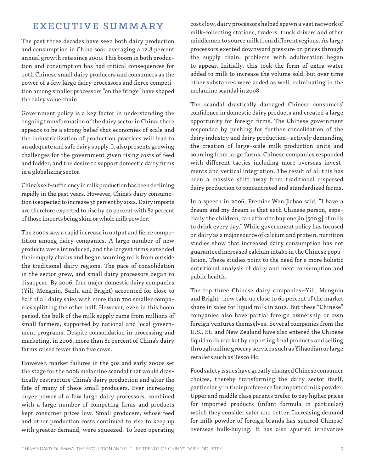# EXECUTIVE SUMMARY

The past three decades have seen both dairy production and consumption in China soar, averaging a 12.8 percent annual growth rate since 2000. This boom in both production and consumption has had critical consequences for both Chinese small dairy producers and consumers as the power of a few large dairy processors and fierce competition among smaller processors "on the fringe" have shaped the dairy value chain.

Government policy is a key factor in understanding the ongoing transformation of the dairy sector in China: there appears to be a strong belief that economies of scale and the industrialization of production practices will lead to an adequate and safe dairy supply. It also presents growing challenges for the government given rising costs of feed and fodder, and the desire to support domestic dairy firms in a globalizing sector.

China's self-sufficiency in milk production has been declining rapidly in the past years. However, China's dairy consumption is expected to increase 38 percent by 2022. Dairy imports are therefore expected to rise by 20 percent with 82 percent of those imports being skim or whole milk powder.

The 2000s saw a rapid increase in output and fierce competition among dairy companies. A large number of new products were introduced, and the largest firms extended their supply chains and began sourcing milk from outside the traditional dairy regions. The pace of consolidation in the sector grew, and small dairy processors began to disappear. By 2006, four major domestic dairy companies (Yili, Mengniu, Sanlu and Bright) accounted for close to half of all dairy sales with more than 700 smaller companies splitting the other half. However, even in this boom period, the bulk of the milk supply came from millions of small farmers, supported by national and local government programs. Despite consolidation in processing and marketing, in 2006, more than 81 percent of China's dairy farms raised fewer than five cows.

However, market failures in the 90s and early 2000s set the stage for the 2008 melamine scandal that would drastically restructure China's dairy production and alter the fate of many of these small producers. Ever increasing buyer power of a few large dairy processors, combined with a large number of competing firms and products kept consumer prices low. Small producers, whose feed and other production costs continued to rise to keep up with greater demand, were squeezed. To keep operating costs low, dairy processors helped spawn a vast network of milk-collecting stations, traders, truck drivers and other middlemen to source milk from different regions. As large processors exerted downward pressure on prices through the supply chain, problems with adulteration began to appear. Initially, this took the form of extra water added to milk to increase the volume sold, but over time other substances were added as well, culminating in the melamine scandal in 2008.

The scandal drastically damaged Chinese consumers' confidence in domestic dairy products and created a large opportunity for foreign firms. The Chinese government responded by pushing for further consolidation of the dairy industry and dairy production—actively demanding the creation of large-scale milk production units and sourcing from large farms. Chinese companies responded with different tactics including more overseas investments and vertical integration. The result of all this has been a massive shift away from traditional dispersed dairy production to concentrated and standardized farms.

In a speech in 2006, Premier Wen Jiabao said, "I have a dream and my dream is that each Chinese person, especially the children, can afford to buy one jin [500 g] of milk to drink every day." While government policy has focused on dairy as a major source of calcium and protein, nutrition studies show that increased dairy consumption has not guaranteed increased calcium intake in the Chinese population. These studies point to the need for a more holistic nutritional analysis of dairy and meat consumption and public health.

The top three Chinese dairy companies—Yili, Mengniu and Bright—now take up close to 60 percent of the market share in sales for liquid milk in 2012. But these "Chinese" companies also have partial foreign ownership or own foreign ventures themselves. Several companies from the U.S., EU and New Zealand have also entered the Chinese liquid milk market by exporting final products and selling through online grocery services such as Yihaodian or large retailers such as Tesco Plc.

Food safety issues have greatly changed Chinese consumer choices, thereby transforming the dairy sector itself, particularly in their preference for imported milk powder. Upper and middle class parents prefer to pay higher prices for imported products (infant formula in particular) which they consider safer and better. Increasing demand for milk powder of foreign brands has spurred Chinese' overseas bulk-buying. It has also spurred innovative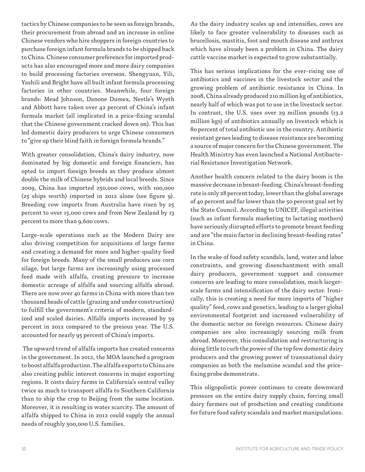tactics by Chinese companies to be seen as foreign brands, their procurement from abroad and an increase in online Chinese vendors who hire shoppers in foreign countries to purchase foreign infant formula brands to be shipped back to China. Chinese consumer preference for imported products has also encouraged more and more dairy companies to build processing factories overseas. Shengyuan, Yili, Yashili and Bright have all built infant formula processing factories in other countries. Meanwhile, four foreign brands: Mead Johnson, Danone Dumex, Nestle's Wyeth and Abbott have taken over 42 percent of China's infant formula market (all implicated in a price-fixing scandal that the Chinese government cracked down on). This has led domestic dairy producers to urge Chinese consumers to "give up their blind faith in foreign formula brands."

With greater consolidation, China's dairy industry, now dominated by big domestic and foreign financiers, has opted to import foreign breeds as they produce almost double the milk of Chinese hybrids and local breeds. Since 2009, China has imported 250,000 cows, with 100,000 (25 ships worth) imported in 2012 alone (see figure 9). Breeding cow imports from Australia have risen by 25 percent to over 15,000 cows and from New Zealand by 13 percent to more than 9,600 cows.

Large-scale operations such as the Modern Dairy are also driving competition for acquisitions of large farms and creating a demand for more and higher-quality feed for foreign breeds. Many of the small producers use corn silage, but large farms are increasingly using processed feed made with alfalfa, creating pressure to increase domestic acreage of alfalfa and sourcing alfalfa abroad. There are now over 40 farms in China with more than ten thousand heads of cattle (grazing and under construction) to fulfill the government's criteria of modern, standardized and scaled dairies. Alfalfa imports increased by 59 percent in 2012 compared to the preious year. The U.S. accounted for nearly 95 percent of China's imports.

 The upward trend of alfalfa imports has created concerns in the government. In 2012, the MOA launched a program to boost alfalfa production. The alfalfa exports to China are also creating public interest concerns in major exporting regions. It costs dairy farms in California's central valley twice as much to transport alfalfa to Southern California than to ship the crop to Beijing from the same location. Moreover, it is resulting in water scarcity. The amount of alfalfa shipped to China in 2012 could supply the annual needs of roughly 500,000 U.S. families.

As the dairy industry scales up and intensifies, cows are likely to face greater vulnerability to diseases such as brucellosis, mastitis, foot and mouth disease and anthrax which have already been a problem in China. The dairy cattle vaccine market is expected to grow substantially.

This has serious implications for the ever-rising use of antibiotics and vaccines in the livestock sector and the growing problem of antibiotic resistance in China. In 2008, China already produced 210 million kg of antibiotics, nearly half of which was put to use in the livestock sector. In contrast, the U.S. uses over 29 million pounds (13.2 million kgs) of antibiotics annually on livestock which is 80 percent of total antibiotic use in the country. Antibiotic resistant genes leading to disease resistance are becoming a source of major concern for the Chinese government. The Health Ministry has even launched a National Antibacterial Resistance Investigation Network.

Another health concern related to the dairy boom is the massive decrease in breast-feeding. China's breast-feeding rate is only 28 percent today, lower than the global average of 40 percent and far lower than the 50 percent goal set by the State Council. According to UNICEF, illegal activities (such as infant formula marketing to lactating mothers) have seriously disrupted efforts to promote breast feeding and are "the main factor in declining breast-feeding rates" in China.

In the wake of food safety scandals, land, water and labor constraints, and growing disenchantment with small dairy producers, government support and consumer concerns are leading to more consolidation, much largerscale farms and intensification of the dairy sector. Ironically, this is creating a need for more imports of "higher quality" feed, cows and genetics, leading to a larger global environmental footprint and increased vulnerability of the domestic sector on foreign resources. Chinese dairy companies are also increasingly sourcing milk from abroad. Moreover, this consolidation and restructuring is doing little to curb the power of the top few domestic dairy producers and the growing power of transnational dairy companies as both the melamine scandal and the pricefixing probe demonstrate.

This oligopolistic power continues to create downward pressure on the entire dairy supply chain, forcing small dairy farmers out of production and creating conditions for future food safety scandals and market manipulations.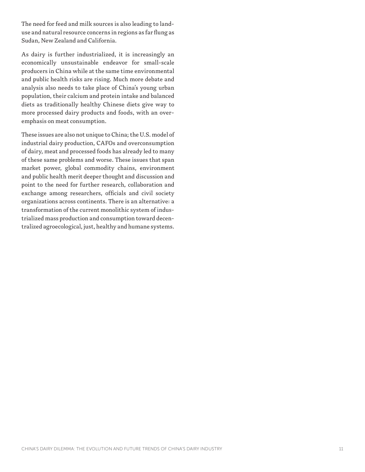The need for feed and milk sources is also leading to landuse and natural resource concerns in regions as far flung as Sudan, New Zealand and California.

As dairy is further industrialized, it is increasingly an economically unsustainable endeavor for small-scale producers in China while at the same time environmental and public health risks are rising. Much more debate and analysis also needs to take place of China's young urban population, their calcium and protein intake and balanced diets as traditionally healthy Chinese diets give way to more processed dairy products and foods, with an overemphasis on meat consumption.

These issues are also not unique to China; the U.S. model of industrial dairy production, CAFOs and overconsumption of dairy, meat and processed foods has already led to many of these same problems and worse. These issues that span market power, global commodity chains, environment and public health merit deeper thought and discussion and point to the need for further research, collaboration and exchange among researchers, officials and civil society organizations across continents. There is an alternative: a transformation of the current monolithic system of industrialized mass production and consumption toward decentralized agroecological, just, healthy and humane systems.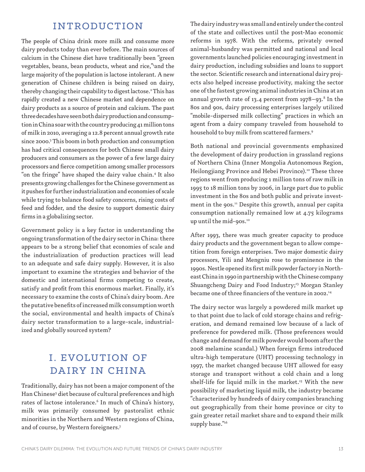# INTRODUCTION

The people of China drink more milk and consume more dairy products today than ever before. The main sources of calcium in the Chinese diet have traditionally been "green vegetables, beans, bean products, wheat and rice,"and the large majority of the population is lactose intolerant. A new generation of Chinese children is being raised on dairy, thereby changing their capability to digest lactose.2 This has rapidly created a new Chinese market and dependence on dairy products as a source of protein and calcium. The past three decades have seen both dairy production and consumption in China soar with the country producing 41 million tons of milk in 2010, averaging a 12.8 percent annual growth rate since 2000.3 This boom in both production and consumption has had critical consequences for both Chinese small dairy producers and consumers as the power of a few large dairy processors and fierce competition among smaller processors "on the fringe" have shaped the dairy value chain.<sup>4</sup> It also presents growing challenges for the Chinese government as it pushes for further industrialization and economies of scale while trying to balance food safety concerns, rising costs of feed and fodder, and the desire to support domestic dairy firms in a globalizing sector.

Government policy is a key factor in understanding the ongoing transformation of the dairy sector in China: there appears to be a strong belief that economies of scale and the industrialization of production practices will lead to an adequate and safe dairy supply. However, it is also important to examine the strategies and behavior of the domestic and international firms competing to create, satisfy and profit from this enormous market. Finally, it's necessary to examine the costs of China's dairy boom. Are the putative benefits of increased milk consumption worth the social, environmental and health impacts of China's dairy sector transformation to a large-scale, industrialized and globally sourced system?

# I. EVOLUTION OF DAIRY IN CHINA

Traditionally, dairy has not been a major component of the Han Chinese<sup>s</sup> diet because of cultural preferences and high rates of lactose intolerance.<sup>6</sup> In much of China's history, milk was primarily consumed by pastoralist ethnic minorities in the Northern and Western regions of China, and of course, by Western foreigners.7

The dairy industry was small and entirely under the control of the state and collectives until the post-Mao economic reforms in 1978. With the reforms, privately owned animal-husbandry was permitted and national and local governments launched policies encouraging investment in dairy production, including subsidies and loans to support the sector. Scientific research and international dairy projects also helped increase productivity, making the sector one of the fastest growing animal industries in China at an annual growth rate of 13.4 percent from 1978–93. $^8$  In the 80s and 90s, dairy processing enterprises largely utilized "mobile-dispersed milk collecting" practices in which an agent from a dairy company traveled from household to household to buy milk from scattered farmers.9

Both national and provincial governments emphasized the development of dairy production in grassland regions of Northern China (Inner Mongolia Autonomous Region, Heilongjiang Province and Hebei Province).<sup>10</sup> These three regions went from producing 1 million tons of raw milk in 1995 to 18 million tons by 2006, in large part due to public investment in the 80s and both public and private investment in the 90s.<sup>11</sup> Despite this growth, annual per capita consumption nationally remained low at 4.75 kilograms up until the mid-90s.<sup>12</sup>

After 1993, there was much greater capacity to produce dairy products and the government began to allow competition from foreign enterprises. Two major domestic dairy processors, Yili and Mengniu rose to prominence in the 1990s. Nestle opened its first milk powder factory in Northeast China in 1990 in partnership with the Chinese company Shuangcheng Dairy and Food Industry;<sup>13</sup> Morgan Stanley became one of three financiers of the venture in 2002.<sup>14</sup>

The dairy sector was largely a powdered milk market up to that point due to lack of cold storage chains and refrigeration, and demand remained low because of a lack of preference for powdered milk. (Those preferences would change and demand for milk powder would boom after the 2008 melamine scandal.) When foreign firms introduced ultra-high temperature (UHT) processing technology in 1997, the market changed because UHT allowed for easy storage and transport without a cold chain and a long shelf-life for liquid milk in the market.<sup>15</sup> With the new possibility of marketing liquid milk, the industry became "characterized by hundreds of dairy companies branching out geographically from their home province or city to gain greater retail market share and to expand their milk supply base."16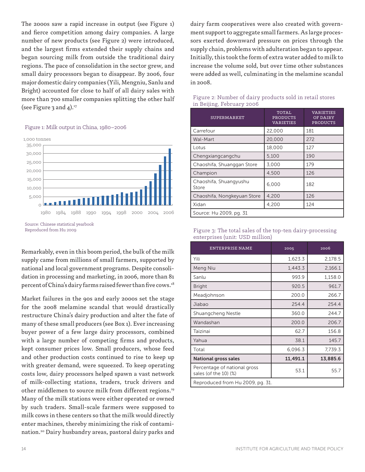The 2000s saw a rapid increase in output (see Figure 1) and fierce competition among dairy companies. A large number of new products (see Figure 2) were introduced, and the largest firms extended their supply chains and began sourcing milk from outside the traditional dairy regions. The pace of consolidation in the sector grew, and small dairy processors began to disappear. By 2006, four major domestic dairy companies (Yili, Mengniu, Sanlu and Bright) accounted for close to half of all dairy sales with more than 700 smaller companies splitting the other half (see Figure 3 and  $4$ ).<sup>17</sup>

#### Figure 1: Milk output in China, 1980–2006



Source: Chinese statistical yearbook Reproduced from Hu 2009

Remarkably, even in this boom period, the bulk of the milk supply came from millions of small farmers, supported by national and local government programs. Despite consolidation in processing and marketing, in 2006, more than 81 percent of China's dairy farms raised fewer than five cows.<sup>18</sup>

Market failures in the 90s and early 2000s set the stage for the 2008 melamine scandal that would drastically restructure China's dairy production and alter the fate of many of these small producers (see Box 1). Ever increasing buyer power of a few large dairy processors, combined with a large number of competing firms and products, kept consumer prices low. Small producers, whose feed and other production costs continued to rise to keep up with greater demand, were squeezed. To keep operating costs low, dairy processors helped spawn a vast network of milk-collecting stations, traders, truck drivers and other middlemen to source milk from different regions.<sup>19</sup> Many of the milk stations were either operated or owned by such traders. Small-scale farmers were supposed to milk cows in these centers so that the milk would directly enter machines, thereby minimizing the risk of contamination.20 Dairy husbandry areas, pastoral dairy parks and

dairy farm cooperatives were also created with government support to aggregate small farmers. As large processors exerted downward pressure on prices through the supply chain, problems with adulteration began to appear. Initially, this took the form of extra water added to milk to increase the volume sold, but over time other substances were added as well, culminating in the melamine scandal in 2008.

| <b>SUPERMARKET</b>              | <b>TOTAL</b><br><b>PRODUCTS</b><br><b>VARIETIES</b> | VARIETIES<br>OF DAIRY<br><b>PRODUCTS</b> |  |  |  |
|---------------------------------|-----------------------------------------------------|------------------------------------------|--|--|--|
| Carrefour                       | 22,000                                              | 181                                      |  |  |  |
| Wal-Mart                        | 20,000                                              | 272                                      |  |  |  |
| Lotus                           | 18,000                                              | 127                                      |  |  |  |
| Chengxiangcangchu               | 5,100                                               | 190                                      |  |  |  |
| Chaoshifa, Shuanggan Store      | 3.000                                               | 179                                      |  |  |  |
| Champion                        | 4,500                                               | 126                                      |  |  |  |
| Chaoshifa, Shuangyushu<br>Store | 6.000                                               | 182                                      |  |  |  |
| Chaoshifa, Nongkeyuan Store     | 4,200                                               | 126                                      |  |  |  |
| Xidan                           | 4,200                                               | 124                                      |  |  |  |
| Source: Hu 2009, pg. 31         |                                                     |                                          |  |  |  |

#### Figure 2: Number of dairy products sold in retail stores in Beijing, February 2006

| Figure 3: The total sales of the top-ten dairy-processing |  |
|-----------------------------------------------------------|--|
| enterprises (unit: USD million)                           |  |

| <b>ENTERPRISE NAME</b>                                | 2005     | 2006     |  |  |  |
|-------------------------------------------------------|----------|----------|--|--|--|
| Yili                                                  | 1,623.3  | 2,178.5  |  |  |  |
| Meng Niu                                              | 1,443.3  | 2,166.1  |  |  |  |
| Sanlu                                                 | 993.9    | 1,158.0  |  |  |  |
| <b>Bright</b>                                         | 920.5    | 961.7    |  |  |  |
| Meadjohnson                                           | 200.0    | 266.7    |  |  |  |
| Jiabao                                                | 254.4    | 254.4    |  |  |  |
| Shuangcheng Nestle                                    | 360.0    | 244.7    |  |  |  |
| Wandashan                                             | 200.0    | 206.7    |  |  |  |
| Taizinai                                              | 62.7     | 156.8    |  |  |  |
| Yahua                                                 | 38.1     | 145.7    |  |  |  |
| Total                                                 | 6,096.3  | 7,739.3  |  |  |  |
| <b>National gross sales</b>                           | 11,491.1 | 13,885.6 |  |  |  |
| Percentage of national gross<br>sales (of the 10) (%) | 53.1     | 55.7     |  |  |  |
| Reproduced from Hu 2009, pg. 31.                      |          |          |  |  |  |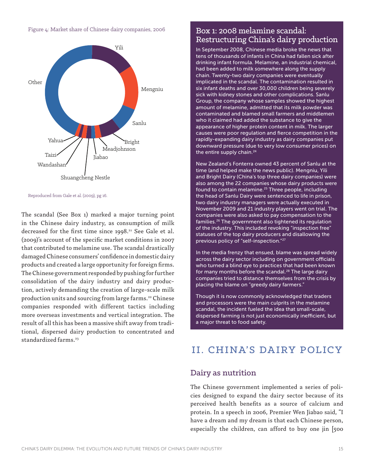Figure 4: Market share of Chinese dairy companies, 2006



Reproduced from Gale et al. (2009), pg 16.

The scandal (See Box 1) marked a major turning point in the Chinese dairy industry, as consumption of milk decreased for the first time since  $1998.^{21}$  See Gale et al. (2009)'s account of the specific market conditions in 2007 that contributed to melamine use. The scandal drastically damaged Chinese consumers' confidence in domestic dairy products and created a large opportunity for foreign firms. The Chinese government responded by pushing for further consolidation of the dairy industry and dairy production, actively demanding the creation of large-scale milk production units and sourcing from large farms.<sup>22</sup> Chinese companies responded with different tactics including more overseas investments and vertical integration. The result of all this has been a massive shift away from traditional, dispersed dairy production to concentrated and standardized farms.<sup>23</sup>

### Box 1: 2008 melamine scandal: Restructuring China's dairy production

In September 2008, Chinese media broke the news that tens of thousands of infants in China had fallen sick after drinking infant formula. Melamine, an industrial chemical, had been added to milk somewhere along the supply chain. Twenty-two dairy companies were eventually implicated in the scandal. The contamination resulted in six infant deaths and over 30,000 children being severely sick with kidney stones and other complications. Sanlu Group, the company whose samples showed the highest amount of melamine, admitted that its milk powder was contaminated and blamed small farmers and middlemen who it claimed had added the substance to give the appearance of higher protein content in milk. The larger causes were poor regulation and fierce competition in the rapidly-expanding dairy industry as dairy companies put downward pressure (due to very low consumer prices) on the entire supply chain.<sup>24</sup>

New Zealand's Fonterra owned 43 percent of Sanlu at the time (and helped make the news public). Mengniu, Yili and Bright Dairy (China's top three dairy companies) were also among the 22 companies whose dairy products were found to contain melamine.<sup>25</sup> Three people, including the head of Sanlu Dairy were sentenced to life in prison, two dairy industry managers were actually executed in November 2009 and 21 industry players went on trial. The companies were also asked to pay compensation to the families.26 The government also tightened its regulation of the industry. This included revoking "inspection free" statuses of the top dairy producers and disallowing the previous policy of "self-inspection."27

In the media frenzy that ensued, blame was spread widely across the dairy sector including on government officials who turned a blind eye to practices that had been known for many months before the scandal.<sup>28</sup> The large dairy companies tried to distance themselves from the crisis by placing the blame on "greedy dairy farmers."

Though it is now commonly acknowledged that traders and processors were the main culprits in the melamine scandal, the incident fueled the idea that small-scale, dispersed farming is not just economically inefficient, but a major threat to food safety.

# II. CHINA'S DAIRY POLICY

### Dairy as nutrition

The Chinese government implemented a series of policies designed to expand the dairy sector because of its perceived health benefits as a source of calcium and protein. In a speech in 2006, Premier Wen Jiabao said, "I have a dream and my dream is that each Chinese person, especially the children, can afford to buy one jin [500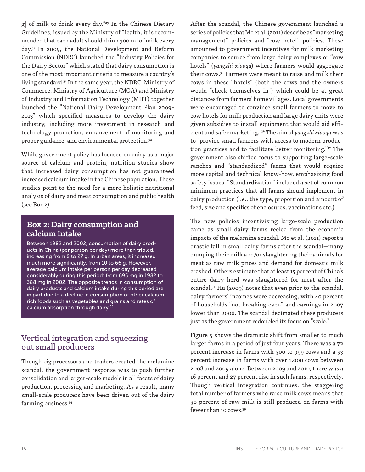g] of milk to drink every day."29 In the Chinese Dietary Guidelines, issued by the Ministry of Health, it is recommended that each adult should drink 300 ml of milk every day.30 In 2009, the National Development and Reform Commission (NDRC) launched the "Industry Policies for the Dairy Sector" which stated that dairy consumption is one of the most important criteria to measure a country's living standard.31 In the same year, the NDRC, Ministry of Commerce, Ministry of Agriculture (MOA) and Ministry of Industry and Information Technology (MIIT) together launched the "National Dairy Development Plan 2009- 2013" which specified measures to develop the dairy industry, including more investment in research and technology promotion, enhancement of monitoring and proper guidance, and environmental protection.<sup>32</sup>

While government policy has focused on dairy as a major source of calcium and protein, nutrition studies show that increased dairy consumption has not guaranteed increased calcium intake in the Chinese population. These studies point to the need for a more holistic nutritional analysis of dairy and meat consumption and public health (see Box 2).

### **Box 2: Dairy consumption and calcium intake**

Between 1982 and 2002, consumption of dairy products in China (per person per day) more than tripled, increasing from 8 to 27 g. In urban areas, it increased much more significantly, from 10 to 66 g. However, average calcium intake per person per day decreased considerably during this period: from 695 mg in 1982 to 388 mg in 2002. The opposite trends in consumption of dairy products and calcium intake during this period are in part due to a decline in consumption of other calcium rich foods such as vegetables and grains and rates of calcium absorption through dairy.<sup>33</sup>

### Vertical integration and squeezing out small producers

Though big processors and traders created the melamine scandal, the government response was to push further consolidation and larger-scale models in all facets of dairy production, processing and marketing. As a result, many small-scale producers have been driven out of the dairy farming business.34

After the scandal, the Chinese government launched a series of policies that Mo et al. (2011) describe as "marketing management" policies and "cow hotel" policies. These amounted to government incentives for milk marketing companies to source from large dairy complexes or "cow hotels" (*yangzhi xiaoqu*) where farmers would aggregate their cows.35 Farmers were meant to raise and milk their cows in these "hotels" (both the cows and the owners would "check themselves in") which could be at great distances from farmers' home villages. Local governments were encouraged to convince small farmers to move to cow hotels for milk production and large dairy units were given subsidies to install equipment that would aid efficient and safer marketing."36 The aim of *yangzhi xiaoqu* was to "provide small farmers with access to modern production practices and to facilitate better monitoring."37 The government also shifted focus to supporting large-scale ranches and "standardized" farms that would require more capital and technical know-how, emphasizing food safety issues. "Standardization" included a set of common minimum practices that all farms should implement in dairy production (i.e., the type, proportion and amount of feed, size and specifics of enclosures, vaccinations etc.).

The new policies incentivizing large-scale production came as small dairy farms reeled from the economic impacts of the melamine scandal. Mo et al. (2011) report a drastic fall in small dairy farms after the scandal—many dumping their milk and/or slaughtering their animals for meat as raw milk prices and demand for domestic milk crashed. Others estimate that at least 15 percent of China's entire dairy herd was slaughtered for meat after the scandal.<sup>38</sup> Hu (2009) notes that even prior to the scandal, dairy farmers' incomes were decreasing, with 40 percent of households "not breaking even" and earnings in 2007 lower than 2006. The scandal decimated these producers just as the government redoubled its focus on "scale."

Figure 5 shows the dramatic shift from smaller to much larger farms in a period of just four years. There was a 72 percent increase in farms with 500 to 999 cows and a 55 percent increase in farms with over 1,000 cows between 2008 and 2009 alone. Between 2009 and 2010, there was a 16 percent and 27 percent rise in such farms, respectively. Though vertical integration continues, the staggering total number of farmers who raise milk cows means that 50 percent of raw milk is still produced on farms with fewer than 10 cows.39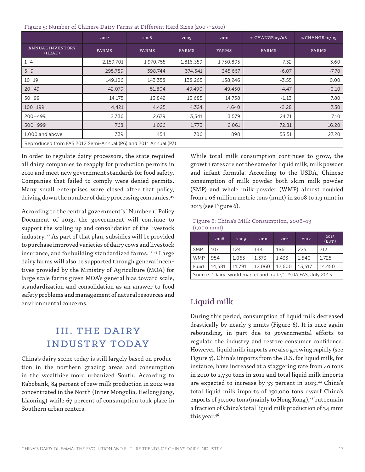Figure 5: Number of Chinese Dairy Farms at Different Herd Sizes (2007–2010)

|                                                                | 2007      | 2008      | 2009         | 2010      | % CHANGE 09/08 | % CHANGE 10/09 |
|----------------------------------------------------------------|-----------|-----------|--------------|-----------|----------------|----------------|
| <b>ANNUAL INVENTORY</b><br>(HEAD)                              | FARMS     | FARMS     | <b>FARMS</b> | FARMS     | FARMS          | <b>FARMS</b>   |
| $1 - 4$                                                        | 2,159,701 | 1,970,755 | 1,816,359    | 1,750,895 | $-7.32$        | $-3.60$        |
| $5 - 9$                                                        | 295,789   | 398,744   | 374,541      | 345,667   | $-6.07$        | $-7.70$        |
| $10 - 19$                                                      | 149,106   | 143,358   | 138,265      | 138,246   | $-3.55$        | 0.00           |
| $20 - 49$                                                      | 42,079    | 51,804    | 49,490       | 49,450    | $-4.47$        | $-0.10$        |
| $50 - 99$                                                      | 14,175    | 13,842    | 13,685       | 14,758    | $-1.13$        | 7.80           |
| $100 - 199$                                                    | 4,421     | 4,425     | 4,324        | 4,640     | $-2.28$        | 7.30           |
| $200 - 499$                                                    | 2,336     | 2,679     | 3,341        | 3,579     | 24.71          | 7.10           |
| $500 - 999$                                                    | 768       | 1,026     | 1,773        | 2,061     | 72.81          | 16.20          |
| 1,000 and above                                                | 339       | 454       | 706          | 898       | 55.51          | 27.20          |
| Reproduced from FAS 2012 Semi-Annual (P6) and 2011 Annual (P3) |           |           |              |           |                |                |

In order to regulate dairy processors, the state required all dairy companies to reapply for production permits in 2010 and meet new government standards for food safety. Companies that failed to comply were denied permits. Many small enterprises were closed after that policy, driving down the number of dairy processing companies.<sup>40</sup>

According to the central government´s "Number 1" Policy Document of 2013, the government will continue to support the scaling up and consolidation of the livestock industry. 41 As part of that plan, subsidies will be provided to purchase improved varieties of dairy cows and livestock insurance, and for building standardized farms.<sup>42,43</sup> Large dairy farms will also be supported through general incentives provided by the Ministry of Agriculture (MOA) for large scale farms given MOA's general bias toward scale, standardization and consolidation as an answer to food safety problems and management of natural resources and environmental concerns.

# III. THE DAIRY INDUSTRY TODAY

China's dairy scene today is still largely based on production in the northern grazing areas and consumption in the wealthier more urbanized South. According to Rabobank, 84 percent of raw milk production in 2012 was concentrated in the North (Inner Mongolia, Heilongjiang, Liaoning) while 67 percent of consumption took place in Southern urban centers.

While total milk consumption continues to grow, the growth rates are not the same for liquid milk, milk powder and infant formula. According to the USDA, Chinese consumption of milk powder both skim milk powder (SMP) and whole milk powder (WMP) almost doubled from 1.06 million metric tons (mmt) in 2008 to 1.9 mmt in 2013 (see Figure 6).

Figure 6: China's Milk Consumption, 2008–13 (1,000 mmt)

|                                                              | 2008   | 2009   | 2010   | 2011   | 2012   | 2013<br>(EST.) |
|--------------------------------------------------------------|--------|--------|--------|--------|--------|----------------|
| <b>SMP</b>                                                   | 107    | 124    | 144    | 186    | 225    | 213            |
| <b>WMP</b>                                                   | 954    | 1.065  | 1.373  | 1.433  | 1.540  | 1.725          |
| Fluid                                                        | 14,581 | 11.791 | 12,060 | 12.600 | 13,517 | 14,450         |
| Source: "Dairy: world market and trade," USDA FAS, July 2013 |        |        |        |        |        |                |

# Liquid milk

During this period, consumption of liquid milk decreased drastically by nearly 3 mmts (Figure 6). It is once again rebounding, in part due to governmental efforts to regulate the industry and restore consumer confidence. However, liquid milk imports are also growing rapidly (see Figure 7). China's imports from the U.S. for liquid milk, for instance, have increased at a staggering rate from 40 tons in 2010 to 2,750 tons in 2012 and total liquid milk imports are expected to increase by 33 percent in 2013.44 China's total liquid milk imports of 150,000 tons dwarf China's exports of 30,000 tons (mainly to Hong Kong), $45$  but remain a fraction of China's total liquid milk production of 34 mmt this year.<sup>46</sup>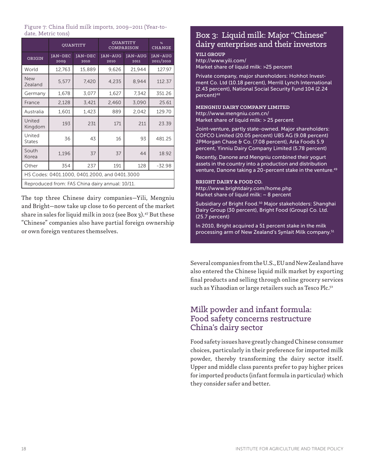Figure 7: China fluid milk imports, 2009–2011 (Year-todate, Metric tons)

|                                                 |                        | <b>QUANTITY</b>        | <b>QUANTITY</b><br>COMPARISON | %<br><b>CHANGE</b>     |                             |
|-------------------------------------------------|------------------------|------------------------|-------------------------------|------------------------|-----------------------------|
| ORIGIN                                          | <b>JAN-DEC</b><br>2009 | <b>JAN-DEC</b><br>2010 | JAN-AUG<br>2010               | <b>JAN-AUG</b><br>2011 | <b>JAN-AUG</b><br>2011/2010 |
| World                                           | 12,763                 | 15,889                 | 9,626                         | 21,944                 | 127.97                      |
| <b>New</b><br>Zealand                           | 5,577                  | 7,420                  | 4,235                         | 8.944                  | 112.37                      |
| Germany                                         | 1,678                  | 3,077                  | 1,627                         | 7,342                  | 351.26                      |
| France                                          | 2,128                  | 3,421                  | 2,460                         | 3,090                  | 25.61                       |
| Australia                                       | 1,601                  | 1,423                  | 889                           | 2,042                  | 129.70                      |
| United<br>Kingdom                               | 193                    | 231                    | 171                           | 211                    | 23.39                       |
| United<br><b>States</b>                         | 36                     | 43                     | 16                            | 93                     | 481.25                      |
| South<br>Korea                                  | 1,196                  | 37                     | 37                            | 44                     | 18.92                       |
| Other                                           | 354                    | 237                    | 191                           | 128                    | $-32.98$                    |
| HS Codes: 0401.1000, 0401.2000, and 0401.3000   |                        |                        |                               |                        |                             |
| Reproduced from: FAS China dairy annual: 10/11. |                        |                        |                               |                        |                             |

The top three Chinese dairy companies—Yili, Mengniu and Bright—now take up close to 60 percent of the market share in sales for liquid milk in 2012 (see Box 3).<sup>47</sup> But these "Chinese" companies also have partial foreign ownership or own foreign ventures themselves.

### Box 3: Liquid milk: Major "Chinese" dairy enterprises and their investors

#### **YILI GROUP**

http://www.yili.com/ Market share of liquid milk: >25 percent

Private company, major shareholders: Hohhot Investment Co. Ltd (10.18 percent), Merrill Lynch International (2.43 percent), National Social Security Fund 104 (2.24 percent)<sup>48</sup>

#### **MENGNIU DAIRY COMPANY LIMITED** http://www.mengniu.com.cn/

Market share of liquid milk: > 25 percent

Joint-venture, partly state-owned. Major shareholders: COFCO Limited (20.05 percent) UBS AG (9.08 percent) JPMorgan Chase & Co. (7.08 percent), Arla Foods 5.9 percent, Yinniu Dairy Company Limited (5.78 percent)

Recently, Danone and Mengniu combined their yogurt assets in the country into a production and distribution venture, Danone taking a 20-percent stake in the venture.<sup>49</sup>

#### **BRIGHT DAIRY & FOOD CO.**

http://www.brightdairy.com/home.php Market share of liquid milk:  $\sim$  8 percent

Subsidiary of Bright Food.<sup>50</sup> Major stakeholders: Shanghai Dairy Group (30 percent), Bright Food (Group) Co. Ltd. (25.7 percent)

In 2010, Bright acquired a 51 percent stake in the milk processing arm of New Zealand's Synlait Milk company.<sup>51</sup>

Several companies from the U.S., EU and New Zealand have also entered the Chinese liquid milk market by exporting final products and selling through online grocery services such as Yihaodian or large retailers such as Tesco Plc.<sup>52</sup>

# Milk powder and infant formula: Food safety concerns restructure China's dairy sector

Food safety issues have greatly changed Chinese consumer choices, particularly in their preference for imported milk powder, thereby transforming the dairy sector itself. Upper and middle class parents prefer to pay higher prices for imported products (infant formula in particular) which they consider safer and better.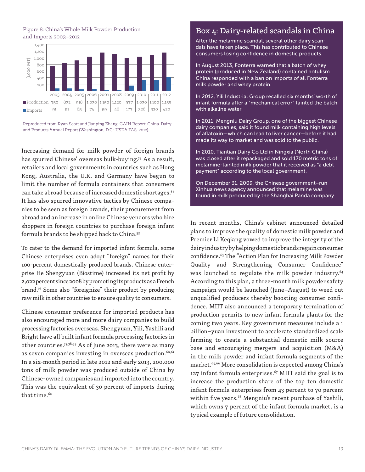#### Figure 8: China's Whole Milk Powder Production and Imports 2003–2012



Reproduced from Ryan Scott and Jianping Zhang, GAIN Report: China-Dairy and Products Annual Report (Washington, D.C.: USDA FAS, 2012).

Increasing demand for milk powder of foreign brands has spurred Chinese' overseas bulk-buying.<sup>53</sup> As a result, retailers and local governments in countries such as Hong Kong, Australia, the U.K. and Germany have begun to limit the number of formula containers that consumers can take abroad because of increased domestic shortages.54 It has also spurred innovative tactics by Chinese companies to be seen as foreign brands, their procurement from abroad and an increase in online Chinese vendors who hire shoppers in foreign countries to purchase foreign infant formula brands to be shipped back to China.55

To cater to the demand for imported infant formula, some Chinese enterprises even adopt "foreign" names for their 100-percent domestically produced brands. Chinese enterprise He Shengyuan (Biostime) increased its net profit by 2,022 percent since 2008 by promoting its products as a French brand.56 Some also "foreignize" their product by producing raw milk in other countries to ensure quality to consumers.

Chinese consumer preference for imported products has also encouraged more and more dairy companies to build processing factories overseas. Shengyuan, Yili, Yashili and Bright have all built infant formula processing factories in other countries.57,58,59 As of June 2013, there were as many as seven companies investing in overseas production.<sup>60,61</sup> In a six-month period in late 2012 and early 2013, 200,000 tons of milk powder was produced outside of China by Chinese-owned companies and imported into the country. This was the equivalent of 30 percent of imports during that time.<sup>62</sup>

# Box 4: Dairy-related scandals in China

After the melamine scandal, several other dairy scandals have taken place. This has contributed to Chinese consumers losing confidence in domestic products.

In August 2013, Fonterra warned that a batch of whey protein (produced in New Zealand) contained botulism. China responded with a ban on imports of all Fonterra milk powder and whey protein.

In 2012, Yili Industrial Group recalled six months' worth of infant formula after a "mechanical error" tainted the batch with alkaline water.

In 2011, Mengniu Dairy Group, one of the biggest Chinese dairy companies, said it found milk containing high levels of aflatoxin—which can lead to liver cancer—before it had made its way to market and was sold to the public.

In 2010, Tiantian Dairy Co Ltd in Ningxia (North China) was closed after it repackaged and sold 170 metric tons of melamine-tainted milk powder that it received as "a debt payment" according to the local government.

On December 31, 2009, the Chinese government–run Xinhua news agency announced that melamine was found in milk produced by the Shanghai Panda company.

In recent months, China's cabinet announced detailed plans to improve the quality of domestic milk powder and Premier Li Keqiang vowed to improve the integrity of the dairy industry by helping domestic brands regain consumer confidence.63 The "Action Plan for Increasing Milk Powder Quality and Strengthening Consumer Confidence" was launched to regulate the milk powder industry.<sup>64</sup> According to this plan, a three-month milk powder safety campaign would be launched (June–August) to weed out unqualified producers thereby boosting consumer confidence. MIIT also announced a temporary termination of production permits to new infant formula plants for the coming two years. Key government measures include a 1 billion–yuan investment to accelerate standardized scale farming to create a substantial domestic milk source base and encouraging mergers and acquisition (M&A) in the milk powder and infant formula segments of the market.65,66 More consolidation is expected among China's 127 infant formula enterprises. $67$  MIIT said the goal is to increase the production share of the top ten domestic infant formula enterprises from 43 percent to 70 percent within five years.<sup>68</sup> Mengniu's recent purchase of Yashili, which owns 7 percent of the infant formula market, is a typical example of future consolidation.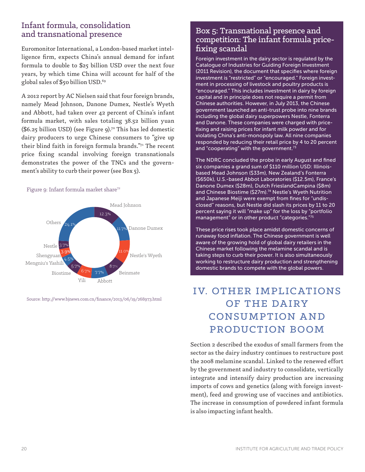# Infant formula, consolidation and transnational presence

Euromonitor International, a London-based market intelligence firm, expects China's annual demand for infant formula to double to \$25 billion USD over the next four years, by which time China will account for half of the global sales of \$50 billion USD.<sup>69</sup>

A 2012 report by AC Nielsen said that four foreign brands, namely Mead Johnson, Danone Dumex, Nestle's Wyeth and Abbott, had taken over 42 percent of China's infant formula market, with sales totaling 38.52 billion yuan  $($6.25$ billion USD)$  (see Figure 9).<sup>70</sup> This has led domestic dairy producers to urge Chinese consumers to "give up their blind faith in foreign formula brands."71 The recent price fixing scandal involving foreign transnationals demonstrates the power of the TNCs and the government's ability to curb their power (see Box 5).

#### Figure 9: Infant formula market share<sup>72</sup>



Source: http://www.bjnews.com.cn/finance/2013/06/19/268973.html

# Box 5: Transnational presence and competition: The infant formula pricefixing scandal

Foreign investment in the dairy sector is regulated by the Catalogue of Industries for Guiding Foreign Investment (2011 Revision), the document that specifies where foreign investment is "restricted" or "encouraged." Foreign investment in processing of livestock and poultry products is "encouraged." This includes investment in dairy by foreign capital and in principle does not require a permit from Chinese authorities. However, in July 2013, the Chinese government launched an anti-trust probe into nine brands including the global dairy superpowers Nestle, Fonterra and Danone. These companies were charged with pricefixing and raising prices for infant milk powder and for violating China's anti-monopoly law. All nine companies responded by reducing their retail price by 4 to 20 percent and "cooperating" with the government.<sup>73</sup>

The NDRC concluded the probe in early August and fined six companies a grand sum of \$110 million USD: Illinoisbased Mead Johnson (\$33m), New Zealand's Fonterra (\$650k), U.S.-based Abbot Laboratories (\$12.5m), France's Danone Dumex (\$28m), Dutch FrieslandCampina (\$8m) and Chinese Biostime (\$27m).<sup>74</sup> Nestle's Wyeth Nutrition and Japanese Meiji were exempt from fines for "undisclosed" reasons, but Nestle did slash its prices by 11 to 20 percent saying it will "make up" for the loss by "portfolio management" or in other product "categories."75

These price rises took place amidst domestic concerns of runaway food inflation. The Chinese government is well aware of the growing hold of global dairy retailers in the Chinese market following the melamine scandal and is taking steps to curb their power. It is also simultaneously working to restructure dairy production and strengthening domestic brands to compete with the global powers.

# IV. OTHER IMPLICATIONS OF THE DAIRY CONSUMPTION AND PRODUCTION BOOM

Section 2 described the exodus of small farmers from the sector as the dairy industry continues to restructure post the 2008 melamine scandal. Linked to the renewed effort by the government and industry to consolidate, vertically integrate and intensify dairy production are increasing imports of cows and genetics (along with foreign investment), feed and growing use of vaccines and antibiotics. The increase in consumption of powdered infant formula is also impacting infant health.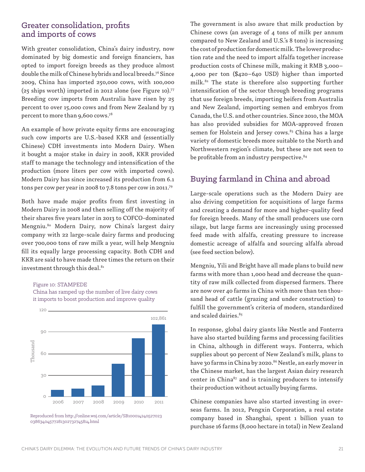# Greater consolidation, profits and imports of cows

With greater consolidation, China's dairy industry, now dominated by big domestic and foreign financiers, has opted to import foreign breeds as they produce almost double the milk of Chinese hybrids and local breeds.76 Since 2009, China has imported 250,000 cows, with 100,000 (25 ships worth) imported in 2012 alone (see Figure 10).77 Breeding cow imports from Australia have risen by 25 percent to over 15,000 cows and from New Zealand by 13 percent to more than 9,600 cows.78

An example of how private equity firms are encouraging such cow imports are U.S.-based KKR and (essentially Chinese) CDH investments into Modern Dairy. When it bought a major stake in dairy in 2008, KKR provided staff to manage the technology and intensification of the production (more liters per cow with imported cows). Modern Dairy has since increased its production from 6.1 tons per cow per year in 2008 to 7.8 tons per cow in 2011.79

Both have made major profits from first investing in Modern Dairy in 2008 and then selling off the majority of their shares five years later in 2013 to COFCO-dominated Mengniu.80 Modern Dairy, now China's largest dairy company with 22 large-scale dairy farms and producing over 700,000 tons of raw milk a year, will help Mengniu fill its equally large processing capacity. Both CDH and KKR are said to have made three times the return on their investment through this deal.<sup>81</sup>

#### Figure 10: STAMPEDE

China has ramped up the number of live dairy cows it imports to boost production and improve quality



Reproduced from http://online.wsj.com/article/SB100014240527023 03863404577281302732745814.html

The government is also aware that milk production by Chinese cows (an average of 4 tons of milk per annum compared to New Zealand and U.S.'s 8 tons) is increasing the cost of production for domestic milk. The lower production rate and the need to import alfalfa together increase production costs of Chinese milk, making it RMB 3,000– 4,000 per ton (\$420–640 USD) higher than imported milk.82 The state is therefore also supporting further intensification of the sector through breeding programs that use foreign breeds, importing heifers from Australia and New Zealand, importing semen and embryos from Canada, the U.S. and other countries. Since 2010, the MOA has also provided subsidies for MOA-approved frozen semen for Holstein and Jersey cows.<sup>83</sup> China has a large variety of domestic breeds more suitable to the North and Northwestern region's climate, but these are not seen to be profitable from an industry perspective.<sup>84</sup>

### Buying farmland in China and abroad

Large-scale operations such as the Modern Dairy are also driving competition for acquisitions of large farms and creating a demand for more and higher-quality feed for foreign breeds. Many of the small producers use corn silage, but large farms are increasingly using processed feed made with alfalfa, creating pressure to increase domestic acreage of alfalfa and sourcing alfalfa abroad (see feed section below).

Mengniu, Yili and Bright have all made plans to build new farms with more than 1,000 head and decrease the quantity of raw milk collected from dispersed farmers. There are now over 40 farms in China with more than ten thousand head of cattle (grazing and under construction) to fulfill the government's criteria of modern, standardized and scaled dairies.<sup>85</sup>

In response, global dairy giants like Nestle and Fonterra have also started building farms and processing facilities in China, although in different ways. Fonterra, which supplies about 90 percent of New Zealand's milk, plans to have 30 farms in China by 2020.<sup>86</sup> Nestle, an early mover in the Chinese market, has the largest Asian dairy research center in China $87$  and is training producers to intensify their production without actually buying farms.

Chinese companies have also started investing in overseas farms. In 2012, Pengxin Corporation, a real estate company based in Shanghai, spent 1 billion yuan to purchase 16 farms (8,000 hectare in total) in New Zealand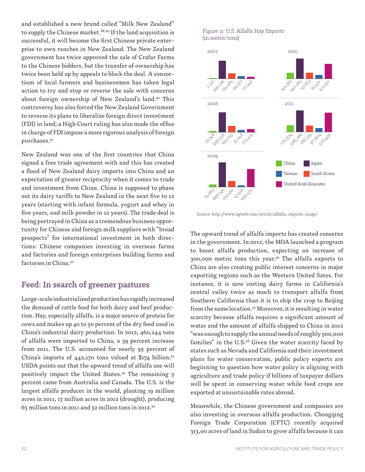and established a new brand called "Milk New Zealand" to supply the Chinese market.<sup>88,89</sup> If the land acquisition is successful, it will become the first Chinese private enterprise to own ranches in New Zealand. The New Zealand government has twice approved the sale of Crafar Farms to the Chinese bidders, but the transfer of ownership has twice been held up by appeals to block the deal. A consortium of local farmers and businessmen has taken legal action to try and stop or reverse the sale with concerns about foreign ownership of New Zealand's land.90 This controversy has also forced the New Zealand Government to reverse its plans to liberalize foreign direct investment (FDI) in land; a High Court ruling has also made the office in charge of FDI impose a more rigorous analysis of foreign purchases.91

New Zealand was one of the first countries that China signed a free trade agreement with and this has created a flood of New Zealand dairy imports into China and an expectation of greater reciprocity when it comes to trade and investment from China. China is supposed to phase out its dairy tariffs to New Zealand in the next five to 12 years (starting with infant formula, yogurt and whey in five years, and milk powder in 12 years). The trade deal is being portrayed in China as a tremendous business opportunity for Chinese and foreign milk suppliers with "broad prospects" for international investment in both directions: Chinese companies investing in overseas farms and factories and foreign enterprises building farms and factories in China.92

### Feed: In search of greener pastures

Large-scale industrialized production has rapidly increased the demand of cattle feed for both dairy and beef production. Hay, especially alfalfa, is a major source of protein for cows and makes up 40 to 50 percent of the dry feed used in China's industrial dairy production. In 2012, 460,244 tons of alfalfa were imported to China, a 59 percent increase from 2011. The U.S. accounted for nearly 95 percent of China's imports of  $442,170$  tons valued at \$174 billion.<sup>93</sup> USDA points out that the upward trend of alfalfa use will positively impact the United States.<sup>94</sup> The remaining 5 percent came from Australia and Canada. The U.S. is the largest alfalfa producer in the world, planting 19 million acres in 2011, 17 million acres in 2012 (drought), producing 65 million tons in 2011 and 52 million tons in 2012.95

#### Figure 11: U.S. Alfalfa Hay Exports (in metric tons)



Source: http://www.agweb.com/article/alfalfa\_exports\_surge/

The upward trend of alfalfa imports has created concerns in the government. In 2012, the MOA launched a program to boost alfalfa production, expecting an increase of 300,000 metric tons this year.96 The alfalfa exports to China are also creating public interest concerns in major exporting regions such as the Western United Sates. For instance, it is now costing dairy farms in California's central valley twice as much to transport alfalfa from Southern California than it is to ship the crop to Beijing from the same location.97 Moreover, it is resulting in water scarcity because alfalfa requires a significant amount of water and the amount of alfalfa shipped to China in 2012 "was enough to supply the annual needs of roughly 500,000 families" in the  $U.S.^{98}$  Given the water scarcity faced by states such as Nevada and California and their investment plans for water conservation, public policy experts are beginning to question how water policy is aligning with agriculture and trade policy if billions of taxpayer dollars will be spent in conserving water while feed crops are exported at unsustainable rates abroad.

Meanwhile, the Chinese government and companies are also investing in overseas alfalfa production. Chongqing Foreign Trade Corporation (CFTC) recently acquired 313,00 acres of land in Sudan to grow alfalfa because it can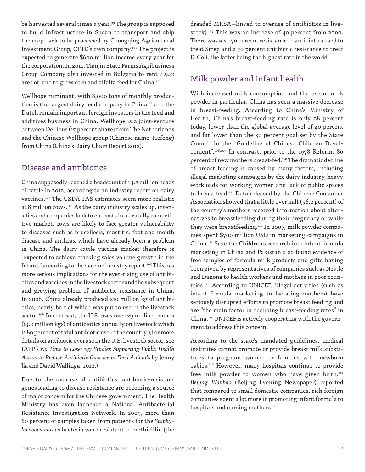be harvested several times a year.99 The group is supposed to build infrastructure in Sudan to transport and ship the crop back to be processed by Chongqing Agricultural Investment Group, CFTC's own company.100 The project is expected to generate \$600 million income every year for the corporation. In 2011, Tianjin State Farms Agribusiness Group Company also invested in Bulgaria to rent 4,942 ares of land to grow corn and alfalfa feed for China.<sup>101</sup>

Wellhope ruminant, with 8,000 tons of monthly production is the largest dairy feed company in China<sup>102</sup> and the Dutch remain important foreign investors in the feed and additives business in China. Wellhope is a joint-venture between De Heus (15 percent share) from The Netherlands and the Chinese Wellhope group (Chinese name: Hefeng) from China (China's Dairy Chain Report 2012).

### Disease and antibiotics

China supposedly reached a headcount of 14.2 million heads of cattle in 2012, according to an industry report on dairy vaccines.103 The USDA-FAS estimates seem more realistic at 8 million cows.104 As the dairy industry scales up, intensifies and companies look to cut costs in a brutally competitive market, cows are likely to face greater vulnerability to diseases such as brucellosis, mastitis, foot and mouth disease and anthrax which have already been a problem in China. The dairy cattle vaccine market therefore is "expected to achieve cracking sales volume growth in the future," according to the vaccine industry report.<sup>105</sup> This has more serious implications for the ever-rising use of antibiotics and vaccines in the livestock sector and the subsequent and growing problem of antibiotic resistance in China. In 2008, China already produced 210 million kg of antibiotics, nearly half of which was put to use in the livestock sector.<sup>106</sup> In contrast, the U.S. uses over 29 million pounds (13.2 million kgs) of antibiotics annually on livestock which is 80 percent of total antibiotic use in the country. (For more details on antibiotic overuse in the U.S. livestock sector, see IATP's *No Time to Lose: 147 Studies Supporting Public Health Action to Reduce Antibiotic Overuse in Food Animals* by Jenny Jia and David Wallinga, 2012.)

Due to the overuse of antibiotics, antibiotic-resistant genes leading to disease resistance are becoming a source of major concern for the Chinese government. The Health Ministry has even launched a National Antibacterial Resistance Investigation Network. In 2009, more than 60 percent of samples taken from patients for the *Staphylococcus aureus* bacteria were resistant to methicillin (the dreaded MRSA—linked to overuse of antibiotics in livestock).<sup>107</sup> This was an increase of 40 percent from 2000. There was also 70 percent resistance to antibiotics used to treat Strep and a 70 percent antibiotic resistance to treat E. Coli, the latter being the highest rate in the world.

# Milk powder and infant health

With increased milk consumption and the use of milk powder in particular, China has seen a massive decrease in breast-feeding. According to China's Ministry of Health, China's breast-feeding rate is only 28 percent today, lower than the global average level of 40 percent and far lower than the 50 percent goal set by the State Council in the "Guideline of Chinese Children Development".108,109 In contrast, prior to the 1978 Reform, 80 percent of new mothers breast-fed.110 The dramatic decline of breast feeding is caused by many factors, including illegal marketing campaigns by the dairy industry, heavy workloads for working women and lack of public spaces to breast feed.<sup>111</sup> Data released by the Chinese Consumer Association showed that a little over half (56.2 percent) of the country's mothers received information about alternatives to breastfeeding during their pregnancy or while they were breastfeeding.<sup>112</sup> In 2007, milk powder companies spent \$700 million USD in marketing campaigns in China.113 Save the Children's research into infant formula marketing in China and Pakistan also found evidence of free samples of formula milk products and gifts having been given by representatives of companies such as Nestle and Danone to health workers and mothers in poor countries.114 According to UNICEF, illegal activities (such as infant formula marketing to lactating mothers) have seriously disrupted efforts to promote breast feeding and are "the main factor in declining breast-feeding rates" in China.<sup>115</sup> UNICEF is actively cooperating with the government to address this concern.

According to the state's mandated guidelines, medical institutes cannot promote or provide breast milk substitutes to pregnant women or families with newborn babies.116 However, many hospitals continue to provide free milk powder to women who have given birth. $117$ *Beijing Wanbao* (Beijing Evening Newspaper) reported that compared to small domestic companies, rich foreign companies spent a lot more in promoting infant formula to hospitals and nursing mothers.<sup>118</sup>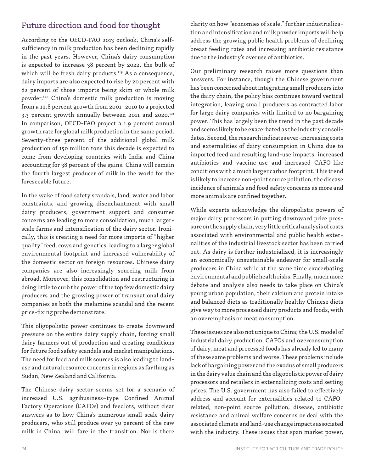# Future direction and food for thought

According to the OECD-FAO 2013 outlook, China's selfsufficiency in milk production has been declining rapidly in the past years. However, China's dairy consumption is expected to increase 38 percent by 2022, the bulk of which will be fresh dairy products.<sup>119</sup> As a consequence, dairy imports are also expected to rise by 20 percent with 82 percent of those imports being skim or whole milk powder.120 China's domestic milk production is moving from a 12.8 percent growth from 2001–2010 to a projected 3.3 percent growth annually between 2011 and 2020.<sup>121</sup> In comparison, OECD-FAO project a 1.9 percent annual growth rate for global milk production in the same period. Seventy-three percent of the additional global milk production of 150 million tons this decade is expected to come from developing countries with India and China accounting for 38 percent of the gains. China will remain the fourth largest producer of milk in the world for the foreseeable future.

In the wake of food safety scandals, land, water and labor constraints, and growing disenchantment with small dairy producers, government support and consumer concerns are leading to more consolidation, much largerscale farms and intensification of the dairy sector. Ironically, this is creating a need for more imports of "higher quality" feed, cows and genetics, leading to a larger global environmental footprint and increased vulnerability of the domestic sector on foreign resources. Chinese dairy companies are also increasingly sourcing milk from abroad. Moreover, this consolidation and restructuring is doing little to curb the power of the top few domestic dairy producers and the growing power of transnational dairy companies as both the melamine scandal and the recent price-fixing probe demonstrate.

This oligopolistic power continues to create downward pressure on the entire dairy supply chain, forcing small dairy farmers out of production and creating conditions for future food safety scandals and market manipulations. The need for feed and milk sources is also leading to landuse and natural resource concerns in regions as far flung as Sudan, New Zealand and California.

The Chinese dairy sector seems set for a scenario of increased U.S. agribusiness–type Confined Animal Factory Operations (CAFOs) and feedlots, without clear answers as to how China's numerous small-scale dairy producers, who still produce over 50 percent of the raw milk in China, will fare in the transition. Nor is there

clarity on how "economies of scale," further industrialization and intensification and milk powder imports will help address the growing public health problems of declining breast feeding rates and increasing antibiotic resistance due to the industry's overuse of antibiotics.

Our preliminary research raises more questions than answers. For instance, though the Chinese government has been concerned about integrating small producers into the dairy chain, the policy bias continues toward vertical integration, leaving small producers as contracted labor for large dairy companies with limited to no bargaining power. This has largely been the trend in the past decade and seems likely to be exacerbated as the industry consolidates. Second, the research indicates ever-increasing costs and externalities of dairy consumption in China due to imported feed and resulting land-use impacts, increased antibiotics and vaccine-use and increased CAFO-like conditions with a much larger carbon footprint. This trend is likely to increase non-point source pollution, the disease incidence of animals and food safety concerns as more and more animals are confined together.

While experts acknowledge the oligopolistic powers of major dairy processors in putting downward price pressure on the supply chain, very little critical analysis of costs associated with environmental and public health externalities of the industrial livestock sector has been carried out. As dairy is further industrialized, it is increasingly an economically unsustainable endeavor for small-scale producers in China while at the same time exacerbating environmental and public health risks. Finally, much more debate and analysis also needs to take place on China's young urban population, their calcium and protein intake and balanced diets as traditionally healthy Chinese diets give way to more processed dairy products and foods, with an overemphasis on meat consumption.

These issues are also not unique to China; the U.S. model of industrial dairy production, CAFOs and overconsumption of dairy, meat and processed foods has already led to many of these same problems and worse. These problems include lack of bargaining power and the exodus of small producers in the dairy value chain and the oligopolistic power of dairy processors and retailers in externalizing costs and setting prices. The U.S. government has also failed to effectively address and account for externalities related to CAFOrelated, non-point source pollution, disease, antibiotic resistance and animal welfare concerns or deal with the associated climate and land-use change impacts associated with the industry. These issues that span market power,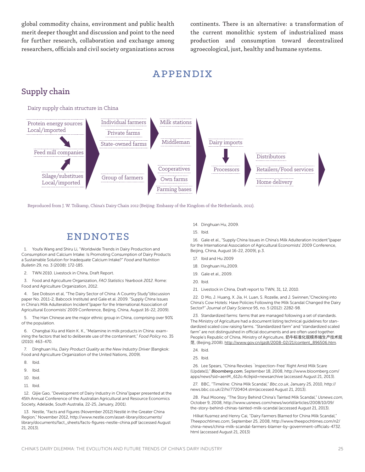global commodity chains, environment and public health merit deeper thought and discussion and point to the need for further research, collaboration and exchange among researchers, officials and civil society organizations across

continents. There is an alternative: a transformation of the current monolithic system of industrialized mass production and consumption toward decentralized agroecological, just, healthy and humane systems.

# APPENDIX

# Supply chain

Dairy supply chain structure in China



Reproduced from J. W. Tolkamp, China's Dairy Chain 2012 (Beijing: Embassy of the Kingdom of the Netherlands, 2012).

# ENDNOTES

1. Youfa Wang and Shiru Li, "Worldwide Trends in Dairy Production and Consumption and Calcium Intake: Is Promoting Consumption of Dairy Products a Sustainable Solution for Inadequate Calcium Intake?" *Food and Nutrition Bulletin* 29, no. 3 (2008): 172-185.

2. TWN 2010. Livestock in China, Draft Report.

3. Food and Agriculture Organization, *FAO Statistics Yearbook 2012*. Rome: Food and Agriculture Organization, 2012.

4. See Dobson et al, "The Dairy Sector of China: A Country Study"(discussion paper No. 2011-2, Babcock Institute) and Gale et al. 2009. "Supply China Issues in China's Milk Adulteration Incident"(paper for the International Association of Agricultural Economists' 2009 Conference, Beijing, China, August 16-22, 2009).

5. The Han Chinese are the major ethnic group in China, comprising over 90% of the population.

6. Changbai Xiu and Klein K. K., "Melamine in milk products in China: examining the factors that led to deliberate use of the contaminant," *Food Policy* no. 35 (2010): 463-470.

7. Dinghuan Hu, *Dairy Product Quality as the New Industry Driver* (Bangkok: Food and Agriculture Organization of the United Nations, 2009).

- 8. Ibid.
- 9. Ibid.
- 10. Ibid.
- 11. Ibid.

12. Qijie Gao, "Development of Dairy Industry in China"(paper presented at the 45th Annual Conference of the Australian Agricultural and Resource Economics Society, Adelaide, South Australia, 22-25, January, 2001).

13. Nestle, "Facts and Figures (November 2012):Nestlé in the Greater China Region," November 2012, http://www.nestle.com/asset-library/documents/ library/documents/fact\_sheets/facts-figures-nestle-china.pdf (accessed August 21, 2013).

- 14. Dinghuan Hu, 2009.
- 15. Ibid.

16. Gale et al., "Supply China Issues in China's Milk Adulteration Incident"(paper for the International Association of Agricultural Economists' 2009 Conference, Beijing, China, August 16-22, 2009), p.3.

- 17. Ibid and Hu 2009
- 18. Dinghuan Hu,2009.
- 19. Gale et al., 2009.
- 20. Ibid.
- 21. Livestock in China, Draft report to TWN, 31, 12, 2010.

22. D Mo, J. Huang, X. Jia, H. Luan, S. Rozelle, and J. Swinnen,"Checking into China's Cow Hotels: Have Policies Following the Milk Scandal Changed the Dairy Sector?" *Journal of Dairy Science* 95, no. 5 (2012): 2282-98.

23. Standardized farms: farms that are managed following a set of standards. The Ministry of Agriculture had a document listing technical guidelines for standardized scaled cow raising farms. "Standardized farm" and "standardized scaled farm" are not distinguished in official documents and are often used together. People's Republic of China, Ministry of Agriculture, 奶牛标准化规模养殖生产技术规 范, (Beijing,2008). http://www.gov.cn/gzdt/2008-02/21/content\_896506.htm.

24. Ibid.

25. Ibid.

26. Lee Spears, "China Revokes `Inspection-Free' Right Amid Milk Scare (Update1)," *Bloomberg.com*, September 18, 2008, http://www.bloomberg.com/ apps/news?sid=aenM\_612o.4c&pid=newsarchive (accessed August 21, 2013).

27. BBC, "Timeline: China Milk Scandal," *Bbc.co.uk*, January 25, 2010, http:// news.bbc.co.uk/2/hi/7720404.stm(accessed August 21, 2013).

28. Paul Mooney, "The Story Behind China's Tainted Milk Scandal," *Usnews.com*, October 9, 2008, http://www.usnews.com/news/world/articles/2008/10/09/ the-story-behind-chinas-tainted-milk-scandal (accessed August 21, 2013).

Hilkat Kusmez and Henry Cai, "Dairy Farmers Blamed for China Milk Scandal," *Theepochtimes.com*, September 25, 2008, http://www.theepochtimes.com/n2/ china-news/china-milk-scandal-farmers-blamer-by-government-officials-4732. html (accessed August 21, 2013)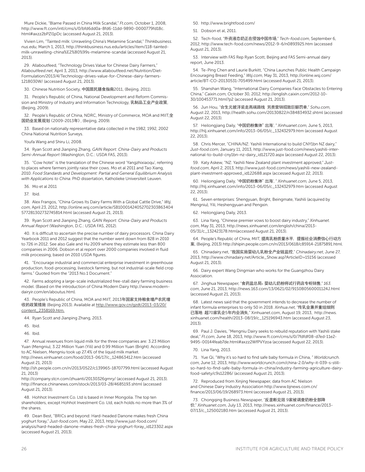Mure Dickie, "Blame Passed in China Milk Scandal," *Ft.com*, October 1, 2008, http://www.ft.com/intl/cms/s/0/bfd6dd0a-8fd6-11dd-9890-0000779fd18c. html#axzz2bPZI1pDc (accessed August 21, 2013).

Vivien Lim, "Tainted milk: Unraveling China's Melamine Scandal," *Thinkbusiness. nus.edu*, March 1, 2013, http://thinkbusiness.nus.edu/articles/item/118-taintedmilk-unravelling-china%E2%80%99s-melamine-scandal (accessed August 21, 2013).

29. Allaboutfeed, "Technology Drives Value for Chinese Dairy Farmers," *Allaboutfeed.net*, April 3, 2013, http://www.allaboutfeed.net/Nutrition/Diet-Formulation/2013/4/Technology-drives-value-for-Chinese-dairy-farmers-1218030W/ (accessed August 21, 2013).

30. Chinese Nutrition Society, 中国居民膳食指南2011, (Beijing, 2011).

31. People's Republic of China, National Development and Reform Commission and Ministry of Industry and Information Technology, 乳制品工业产业政策, (Beijing, 2009).

32. People's Republic of China, NDRC, Ministry of Commerce, MOA and MIIT, 全 国奶业发展规划(2009-2013年), (Beijing, 2009).

33. Based on nationally representative data collected in the 1982, 1992, 2002 China National Nutrition Surveys.

Youfa Wang and Shiru Li, 2008.

34. Ryan Scott and Jianping Zhang, *GAIN Report: China-Dairy and Products Semi-Annual Report* (Washington, D.C.: USDA FAS, 2013).

35. "Cow hotel" is the translation of the Chinese word 'Yangzhixiaoqu', referring to places where farmers jointly raise their cows. Mo et al 2011 and Tao Xiang, 2010. *Food Standards and Development: Partial and General Equilibrium Analysis with Applications to China*. PhD dissertation, Katholieke Universiteit Leuven.

36. Mo et al 2011

37. Ibid.

38. Alex Frangos, "China Grows Its Dairy Farms With a Global Cattle Drive," *Wsj. com*, April 23, 2012, http://online.wsj.com/article/SB10001424052702303863404 577281302732745814.html (accessed August 21, 2013).

39. Ryan Scott and Jianping Zhang, *GAIN Report: China-Dairy and Products Annual Report* (Washington, D.C.: USDA FAS, 2012).

40. It is difficult to ascertain the precise number of dairy processors. China Dairy Yearbook 2011 and 2012 suggest that the number went down from 828 in 2010 to 726 in 2012. See also Gale and Hu 2009 where they estimate less than 800 companies in 2006. Dobson et al report over 2000 companies involved in fluid milk processing, based on 2010 USDA figures.

41. "Encourage industrial and commercial enterprise investment in greenhouse production, food-processing, livestock farming, but not industrial-scale field crop farms." Quoted from the "2013 No.1 Document."

42. Farms adopting a large-scale industrialized free-stall dairy farming business model. (Based on the introduction of China Modern Dairy http://www.moderndairyir.com/en/aboutus.htm).

43. People's Republic of China, MOA and MIIT, 2013年国家支持粮食增产农民增 收的政策措施 (Beijing:2013). Available at http://www.gov.cn/gzdt/2013-03/20/ content\_2358169.htm.

44. Ryan Scott and Jianping Zhang, 2013.

45. Ibid.

46. Ibid.

47. Annual revenues from liquid milk for the three companies are: 3.23 Million Yuan (Mengniu), 3.22 Million Yuan (Yili) and 0.99 Million Yuan (Bright). According to AC Nielsen, Mengniu took up 27.4% of the liquid milk market.

http://news.xinhuanet.com/food/2013-06/17/c\_124863412.htm (accessed August 21, 2013)

http://sh.people.com.cn/n/2013/0522/c139965-18707799.html (accessed August 21, 2013)

http://company.stcn.com/zhuanti/20130326gmry/ (accessed August 21, 2013). http://finance.chinanews.com/stock/2013/03-28/4685193.shtml (accessed August 21, 2013).

48. Hohhot Investment Co. Ltd is based in Inner Mongolia. The top ten shareholders, except Hohhot Investment Co. Ltd, each holds no more than 3% of the shares.

49. Dean Best, "BRICs and beyond: Hard-headed Danone makes fresh China yoghurt foray," *Just-food.com*, May 22, 2013, http://www.just-food.com/ analysis/hard-headed-danone-makes-fresh-china-yoghurt-foray\_id123302.aspx (accessed August 21, 2013).

50. http://www.brightfood.com/

51. Dobson et al, 2011.

52. Tech-food, "外资液态奶正在侵蚀中国市场," *Tech-food.com*, September 6, 2012, http://www.tech-food.com/news/2012-9-6/n0893925.htm (accessed August 21, 2013).

53. Interview with FAS Rep Ryan Scott, Beijing and FAS Semi-annual dairy report, June 2013.

54. Te-Ping Chen and Laurie Burkitt, "China Launches Public Health Campaign Encouraging Breast Feeding," *Wsj.com*, May 31, 2013, http://online.wsj.com/ article/BT-CO-20130531-705499.html (accessed August 21, 2013).

55. Shanshan Wang, "International Dairy Companies Face Obstacles to Entering China," *Caixin.com*, October 30, 2012, http://english.caixin.com/2012-10- 30/100453771.html?p2 (accessed August 21, 2013).

56. Jun Hou, "合生元披洋装走高端路线 另类营销招致巨额罚单," *Sohu.com*, August 22, 2013, http://health.sohu.com/20130822/n384834932.shtml (accessed August 22, 2013).

57. Heilongjiang Daily, "中国奶粉集体'出海', " *Xinhuanet.com*, June 5, 2013, http://hlj.xinhuanet.com/info/2013-06/05/c\_132432979.htm (accessed August 22, 2013).

58. Chris Mercer, "CHINA/NZ: Yashili International to build CNY1bn NZ dairy," *Just-food.com*, January 11, 2013, http://www.just-food.com/news/yashili-international-to-build-cny1bn-nz-dairy\_id121720.aspx (accessed August 22, 2013).

59. Katy Askew, "NZ: Yashili New Zealand plant investment approved," *Justfood.com*, April 2, 2013, http://www.just-food.com/news/yashili-new-zealandplant-investment-approved\_id122688.aspx (accessed August 22, 2013).

60. Heilongjiang Daily, "中国奶粉集体'出海', " *Xinhuanet.com*, June 5, 2013, http://hlj.xinhuanet.com/info/2013-06/05/c\_132432979.htm (accessed August 22, 2013).

61. Seven enterprises: Shengyuan, Bright, Beingmate, Yashili (acquired by Mengniu), Yili, Heshengyuan and Pengxin.

62. Heilongjiang Daily, 2013.

63. Lina Yang, "Chinese premier vows to boost dairy industry," *Xinhuanet. com*, May 31, 2013, http://news.xinhuanet.com/english/china/2013- 05/31/c\_132423178.htm(accessed August 21, 2013).

64. People's Republic of China, MIIT, 提高乳粉质量水平, 提振社会消费信心行动方 案, (Beijing, 2013) http://shipin.people.com.cn/n/2013/0618/c85914-21875891.html.

65. Chinadairy.net, "我国实施婴幼儿乳粉全产业链监控," *Chinadairy.net*, June 27, 2013, http://www.chinadairy.net/Article\_Show.asp?ArticleID=15156 (accessed August 21, 2013).

66. Dairy expert Wang Dingmian who works for the Guangzhou Dairy Association.

67. Jinghua Newspaper, "食药监总局:婴幼儿奶粉将试行药店专柜销售," *163. com*, June 21, 2013, http://news.163.com/13/0621/02/91S0B0560001124J.html (accessed August 21, 2013).

68. Latest news said that the government intends to decrease the number of infant formula enterprises to only 50 in 2018. *Xinhua.net*, "传乳业兼并重组细则 已落地 超70家乳企5年内会消失," Xinhuanet.com, August 19, 2013, http://news. xinhuanet.com/health/2013-08/19/c\_125196943.htm (accessed August 23, 2013).

69. Paul J. Davies, "Mengniu Dairy seeks to rebuild reputation with Yashili stake deal," *Ft.com*, June 18, 2013, http://www.ft.com/cms/s/0/7fdfdf08-d7ed-11e2- 9495-00144feab7de.html#axzz2WfPVYzoa (accessed August 22, 2013).

#### 70. Lina Yang, 2013.

71. Yue Qi, "Why it's so hard to find safe baby formula in China, " *Worldcrunch. com*, June 12, 2013, http://www.worldcrunch.com/china-2.0/why-it-039-s-stillso-hard-to-find-safe-baby-formula-in-china/industry-farming-agriculture-dairyfood-safety/c9s12286/ (accessed August 21, 2013).

72. Reproduced from Xinjing Newspaper, data from AC Nielson and Chinese Dairy Industry Association http://www.bjnews.com.cn/ finance/2013/06/19/268973.html (accessed August 21, 2013).

73. Chongqing Business Newspaper, "反垄断见效 9家被调查奶粉全部降 价," *Xinhuanet.com*, July 13, 2013, http://news.xinhuanet.com/finance/2013- 07/13/c\_125002180.htm (accessed August 21, 2013).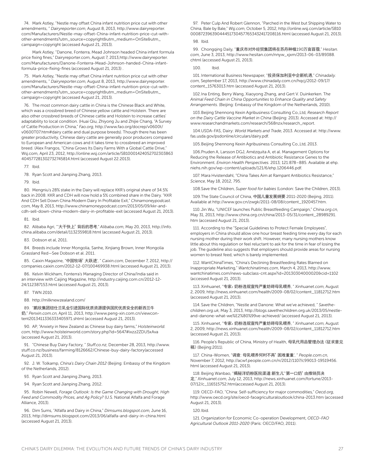74. Mark Astley, "Nestle may offset China infant nutrition price cut with other amendments, " *Dairyreporter.com*, August 8, 2013, http://www.dairyreporter. com/Manufacturers/Nestle-may-offset-China-infant-nutrition-price-cut-withother-amendments?utm\_source=copyright&utm\_medium=OnSite&utm\_ campaign=copyright (accessed August 21, 2013).

Mark Astley, "Danone, Fonterra, Mead Johnson headed China infant formula price fixing fines," Dairyreporter.com, August 7, 2013,http://www.dairyreporter. com/Manufacturers/Danone-Fonterra-Mead-Johnson-handed-China-infantformula-price-fixing-fines (accessed August 21, 2013) .

75. Mark Astley, "Nestle may offset China infant nutrition price cut with other amendments, " *Dairyreporter.com*, August 8, 2013, http://www.dairyreporter. com/Manufacturers/Nestle-may-offset-China-infant-nutrition-price-cut-withother-amendments?utm\_source=copyright&utm\_medium=OnSite&utm\_ campaign=copyright (accessed August 21, 2013).

76. The most common dairy cattle in China is the Chinese Black and White, which was a crossbred breed of Chinese yellow cattle and Holstein. There are also other crossbred breeds of Chinese cattle and Holstein to increase cattles' adaptability to local condition. (Huai Qiu, Zhiyong Ju and Zhijie Chang, "A Survey of Cattle Production in China," *Fao.org*, http://www.fao.org/docrep/v0600t/ v0600T07.htm#dairy cattle and dual purpose breeds). Though there has been greater productivity, Chinese dairy cattle are generally poor producers compared to European and American cows and it takes time to crossbreed an improved breed. (Alex Frangos, "China Grows Its Dairy Farms With a Global Cattle Drive," Wsj.com, April 23, 2012, http://online.wsj.com/article/SB10001424052702303863 404577281302732745814.html (accessed August 22.2013).

77. Ibid.

78. Ryan Scott and Jianping Zhang, 2013.

79. Ibid.

80. Mengniu's 28% stake in the Dairy will replace KKR's original share of 34.5% back in 2008. KKR and CDH will now hold a 5% combined share in the Dairy. "KKR And CDH Sell Down China Modern Dairy In Profitable Exit," *Chinamoneypodcast. com*, May 8, 2013, http://www.chinamoneypodcast.com/2013/05/09/kkr-andcdh-sell-down-china-modern-dairy-in-profitable-exit (accessed August 21, 2013).

81. Ibid.

82. Alibaba Agri, "'大干快上'背后的思考," *Alibaba.com*, May 20, 2013, http://info. china.alibaba.com/detail/1132359818.html (accessed August 21, 2013).

83. Dobson et al, 2011.

84. Breeds include Inner Mongolia, Sanhe, Xinjiang Brown, Inner Mongolia Grassland Red—See Dobson et al. 2011.

85. Caixin Magazine, "中国牧场'大跃进', " *Caixin.com*, December 7, 2012, http:// companies.caixin.com/2012-12-07/100469938.html (accessed August 21, 2013).

86. Kelvin Wickham, Fonterra's Managing Director of China/India said in an interview with Caijing Magazine, http://industry.caijing.com.cn/2012-12- 24/112387153.html (accessed August 21, 2013).

87. TWN 2010.

88. http://milknewzealand.com/

89. "鹏欣集团纽仕兰乳业引进国际优质资源提供国民优质安全的新西兰牛 奶," *Penxin.com.cn*, April 11, 2013, http://www.peng-xin.com.cn/viewcontent2013411336333405971.shtml (accessed August 21, 2013).

90. AP, "Anxiety in New Zealand as Chinese buy dairy farms," *Holsteinworld. com*, http://www.holsteinworld.com/story.php?id=5647#ixzz2ZDU5xAva (accessed August 21, 2013).

91. "Chinese Buy Dairy Factory, " *Stuff.co.nz*, December 28, 2013, http://www. stuff.co.nz/business/farming/8126662/Chinese-buy-dairy-factory(accessed August 21, 2013).

92. J. W. Tolkamp, *China's Dairy Chain 2012* (Beijing: Embassy of the Kingdom of the Netherlands, 2012).

93. Ryan Scott and Jianping Zhang, 2013.

94. Ryan Scott and Jianping Zhang, 2012.

95. Robin Newell, *Forage Outlook: Is the Game Changing with Drought, High Feed and Commodity Prices, and Ag Policy?* (U.S. National Alfalfa and Forage Alliance, 2013).

96. Dim Sums, "Alfalfa and Dairy in China," *Dimsums.blogspot.com*, June 16, 2013, http://dimsums.blogspot.com/2013/06/alfalfa-and-dairy-in-china.html (accessed August 21, 2013).

97. Peter Culp And Robert Glennon, "Parched in the West but Shipping Water to China, Bale by Bale," *Wsj.com*, October 5, 2012, http://online.wsj.com/article/SB10 000872396390444517304577653432417208116.html (accessed August 21, 2013). 98. Ibid.

99. Chongqing Daily, "重庆市对外经贸集团将在苏丹种植190万亩苜蓿," *Hesitan. com*, June 3, 2013, http://www.hesitan.com/nnyw\_xjxm/2013-06-03/89388. chtml (accessed August 21, 2013).

#### 100. Ibid.

101. International Business Newspaper, "投资保加利亚中企新机遇," *Chinadaily. com*, September 17, 2013, http://www.chinadaily.com.cn/hqcj/2012-09/17/ content\_15763013.htm (accessed August 21, 2013).

102.Ina Enting, Berry Wang, Xiaoyong Zhang, and Gert V. Duinkerken. T*he Animal Feed Chain in China Opportunities to Enhance Quality and Safety Arrangements*. (Beijing: Embassy of the Kingdom of the Netherlands, 2010).

103.Beijing Shennong Kexin Agribusiness Consulting Co.,Ltd, *Research Report on the Dairy Cattle Vaccine Market in China* (Beijing: 2013). Accessed at: http:// www.researchandmarkets.com/research/568nzx/research\_report.

104.USDA-FAS, Dairy: *World Markets and Trade*, 2013. Accessed at: http://www. fas.usda.gov/psdonline/circulars/dairy.pdf.

105.Beijing Shennong Kexin Agribusiness Consulting Co.,Ltd, 2013.

106.Pruden A, Larsson DGJ, Amézquita A, et al. Management Options for Reducing the Release of Antibiotics and Antibiotic Resistance Genes to the Environment. *Environ Health Perspectives.* 2013; 121:878–885. Available at ehp. niehs.nih.gov/wp-content/uploads/121/6/ehp.1206446.pdf.

107. Mara Hvistendahl, "China Takes Aim at Rampant Antibiotics Resistance," *Science*, May 18, 2012, 795.

108.Save the Children, *Super food for babies* (London: Save the Children, 2013).

109.The State Council of China, 中国儿童发展纲要 2011-2020 (Beijing, 2011). Available at http://www.gov.cn/zwgk/2011-08/08/content\_1920457.htm.

110. Jin Wu, "UNICEF launches Public Breastfeeding Campaign," *China.org.cn*, May 31, 2013, http://www.china.org.cn/china/2013-05/31/content\_28989291. htm (accessed August 21, 2013).

111. According to the "Special Guidelines to Protect Female Employees", employers in China should allow one hour breast feeding time every day for each nursing mother during their work shift. However, many nursing mothers know little about this regulation or feel reluctant to ask for the time in fear of losing the job. The guideline also suggests that employers should provide areas for nursing women to breast feed, which is barely implemented.

112. WantChinaTimes, "China's Declining Breastfeeding Rates Blamed on Inappropriate Marketing," *Wantchinatimes.com*, March 4, 2013, http://www. wantchinatimes.com/news-subclass-cnt.aspx?id=20130304000020&cid=1102 (accessed August 21, 2013).

113. Xinhuanet, "专家:奶粉违规宣传严重妨碍母乳喂养, " *Xinhuanet.com*, August 2, 2009, http://news.xinhuanet.com/health/2009-08/02/content\_11812712.htm (accessed August 21, 2013).

114. Save the Children, "Nestle and Danone: What we've achieved, " *Savethechildren.org.uk*, May 3, 2013, http://blogs.savethechildren.org.uk/2013/05/nestleand-danone-what-we%E2%80%99ve-achieved/ (accessed August 21, 2013).

115. Xinhuanet, "专家:奶粉违规宣传严重妨碍母乳喂养, " *Xinhuanet.com*, August 2, 2009, http://news.xinhuanet.com/health/2009-08/02/content\_11812712.htm (accessed August 21, 2013).

116. People's Republic of China, Ministry of Health, 母乳代用品管理办法(征求意见 稿)(Beijing:2011).

117. China-Women, "调查: 母乳喂养何时不再'困难重重', " *People.com.cn*, November 7, 2012, http://acwf.people.com.cn/n/2012/1107/c99013-19519456. html (accessed August 21, 2013).

118.Beijing Wanbao, "揭秘洋奶粉医院渠道:新生儿"'第一口奶'由推销员决 定," *Xinhuanet.com*, July 12, 2013, http://news.xinhuanet.com/fortune/2013- 07/12/c\_116515752.htm(accessed August 21, 2013).

119. OECD-FAO, "China: Self-sufficiency for major commodities," *Oecd.org*, http://www.oecd.org/site/oecd-faoagriculturaloutlook/china-2013.htm (accessed August 21, 2013).

120.Ibid.

121. Organization for Economic Co-operation Development, *OECD-FAO Agricultural Outlook 2011-2020* (Paris: OECD/FAO, 2011).